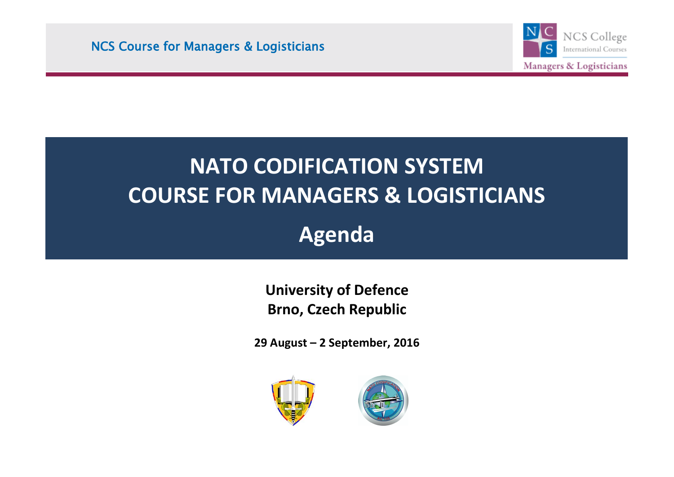

# **NATO CODIFICATION SYSTEM COURSE FOR MANAGERS & LOGISTICIANS**

**Agenda**

**University of Defence Brno, Czech Republic**

**29 August – 2 September, 2016**



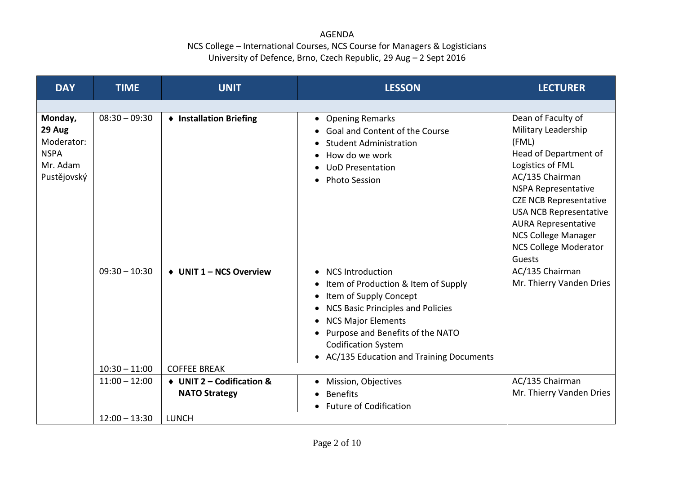#### AGENDA

| <b>DAY</b>                                                                | <b>TIME</b>     | <b>UNIT</b>                                       | <b>LESSON</b>                                                                                                                                                                                                                                                                                 | <b>LECTURER</b>                                                                                                                                                                                                                                                                                                   |
|---------------------------------------------------------------------------|-----------------|---------------------------------------------------|-----------------------------------------------------------------------------------------------------------------------------------------------------------------------------------------------------------------------------------------------------------------------------------------------|-------------------------------------------------------------------------------------------------------------------------------------------------------------------------------------------------------------------------------------------------------------------------------------------------------------------|
|                                                                           |                 |                                                   |                                                                                                                                                                                                                                                                                               |                                                                                                                                                                                                                                                                                                                   |
| Monday,<br>29 Aug<br>Moderator:<br><b>NSPA</b><br>Mr. Adam<br>Pustějovský | $08:30 - 09:30$ | ♦ Installation Briefing                           | • Opening Remarks<br>Goal and Content of the Course<br><b>Student Administration</b><br>How do we work<br><b>UoD Presentation</b><br><b>Photo Session</b>                                                                                                                                     | Dean of Faculty of<br>Military Leadership<br>(FML)<br>Head of Department of<br>Logistics of FML<br>AC/135 Chairman<br><b>NSPA Representative</b><br><b>CZE NCB Representative</b><br><b>USA NCB Representative</b><br><b>AURA Representative</b><br>NCS College Manager<br><b>NCS College Moderator</b><br>Guests |
|                                                                           | $09:30 - 10:30$ | ♦ UNIT 1 - NCS Overview                           | <b>NCS Introduction</b><br>$\bullet$<br>Item of Production & Item of Supply<br>Item of Supply Concept<br><b>NCS Basic Principles and Policies</b><br><b>NCS Major Elements</b><br>Purpose and Benefits of the NATO<br><b>Codification System</b><br>• AC/135 Education and Training Documents | AC/135 Chairman<br>Mr. Thierry Vanden Dries                                                                                                                                                                                                                                                                       |
|                                                                           | $10:30 - 11:00$ | <b>COFFEE BREAK</b>                               |                                                                                                                                                                                                                                                                                               |                                                                                                                                                                                                                                                                                                                   |
|                                                                           | $11:00 - 12:00$ | ♦ UNIT 2 - Codification &<br><b>NATO Strategy</b> | • Mission, Objectives<br><b>Benefits</b><br>• Future of Codification                                                                                                                                                                                                                          | AC/135 Chairman<br>Mr. Thierry Vanden Dries                                                                                                                                                                                                                                                                       |
|                                                                           | $12:00 - 13:30$ | <b>LUNCH</b>                                      |                                                                                                                                                                                                                                                                                               |                                                                                                                                                                                                                                                                                                                   |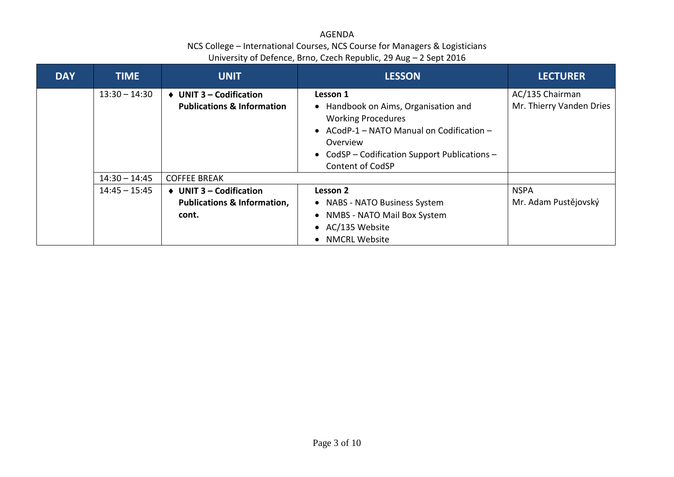| <b>DAY</b> | <b>TIME</b>     | <b>UNIT</b>                                                                              | <b>LESSON</b>                                                                                                                                                                                                      | <b>LECTURER</b>                             |
|------------|-----------------|------------------------------------------------------------------------------------------|--------------------------------------------------------------------------------------------------------------------------------------------------------------------------------------------------------------------|---------------------------------------------|
|            | $13:30 - 14:30$ | $\triangleleft$ UNIT 3 – Codification<br><b>Publications &amp; Information</b>           | Lesson 1<br>• Handbook on Aims, Organisation and<br><b>Working Procedures</b><br>• ACodP-1 – NATO Manual on Codification –<br>Overview<br>• CodSP - Codification Support Publications -<br><b>Content of CodSP</b> | AC/135 Chairman<br>Mr. Thierry Vanden Dries |
|            | $14:30 - 14:45$ | <b>COFFEE BREAK</b>                                                                      |                                                                                                                                                                                                                    |                                             |
|            | $14:45 - 15:45$ | $\triangleleft$ UNIT 3 – Codification<br><b>Publications &amp; Information,</b><br>cont. | Lesson 2<br>• NABS - NATO Business System<br>NMBS - NATO Mail Box System<br>• AC/135 Website<br><b>NMCRL Website</b>                                                                                               | <b>NSPA</b><br>Mr. Adam Pustějovský         |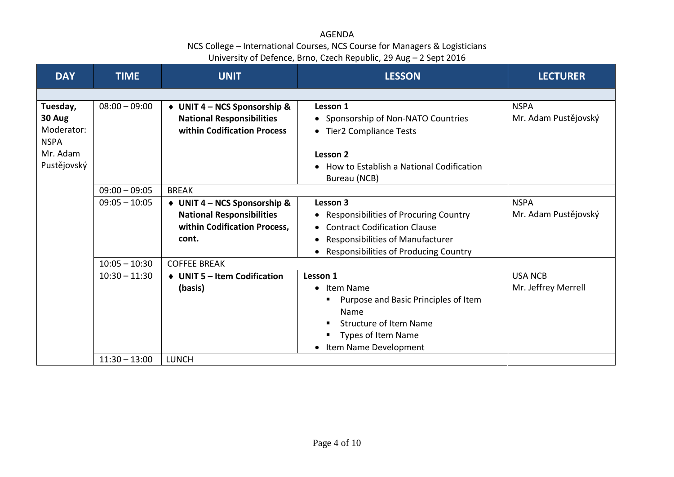| <b>DAY</b>  | <b>TIME</b>     | <b>UNIT</b>                      | <b>LESSON</b>                             | <b>LECTURER</b>      |
|-------------|-----------------|----------------------------------|-------------------------------------------|----------------------|
|             |                 |                                  |                                           |                      |
| Tuesday,    | $08:00 - 09:00$ | ◆ UNIT 4 – NCS Sponsorship &     | Lesson 1                                  | <b>NSPA</b>          |
| 30 Aug      |                 | <b>National Responsibilities</b> | • Sponsorship of Non-NATO Countries       | Mr. Adam Pustějovský |
| Moderator:  |                 | within Codification Process      | • Tier2 Compliance Tests                  |                      |
| <b>NSPA</b> |                 |                                  |                                           |                      |
| Mr. Adam    |                 |                                  | Lesson 2                                  |                      |
| Pustějovský |                 |                                  | How to Establish a National Codification  |                      |
|             |                 |                                  | Bureau (NCB)                              |                      |
|             | $09:00 - 09:05$ | <b>BREAK</b>                     |                                           |                      |
|             | $09:05 - 10:05$ | UNIT 4 – NCS Sponsorship &       | Lesson 3                                  | <b>NSPA</b>          |
|             |                 | <b>National Responsibilities</b> | • Responsibilities of Procuring Country   | Mr. Adam Pustějovský |
|             |                 | within Codification Process,     | <b>Contract Codification Clause</b>       |                      |
|             |                 | cont.                            | Responsibilities of Manufacturer          |                      |
|             |                 |                                  | Responsibilities of Producing Country     |                      |
|             | $10:05 - 10:30$ | <b>COFFEE BREAK</b>              |                                           |                      |
|             | $10:30 - 11:30$ | ♦ UNIT 5 - Item Codification     | Lesson 1                                  | <b>USA NCB</b>       |
|             |                 | (basis)                          | • Item Name                               | Mr. Jeffrey Merrell  |
|             |                 |                                  | Purpose and Basic Principles of Item<br>п |                      |
|             |                 |                                  | Name                                      |                      |
|             |                 |                                  | <b>Structure of Item Name</b>             |                      |
|             |                 |                                  | Types of Item Name                        |                      |
|             |                 |                                  | Item Name Development                     |                      |
|             | $11:30 - 13:00$ | <b>LUNCH</b>                     |                                           |                      |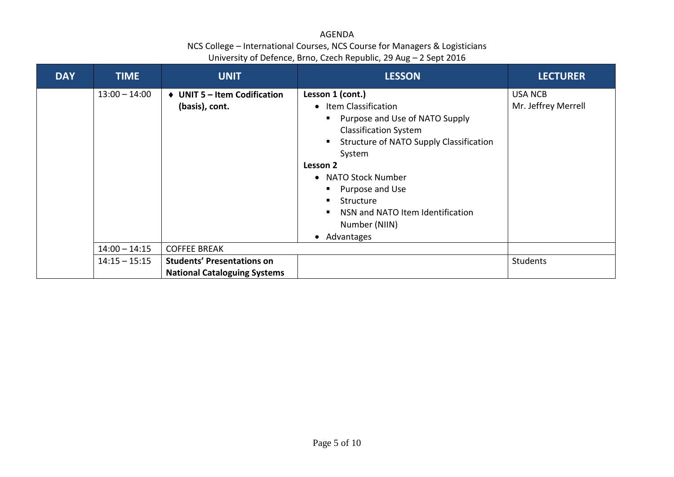| <b>DAY</b> | <b>TIME</b>     | <b>UNIT</b>                                                              | <b>LESSON</b>                                                                                                                                              | <b>LECTURER</b>                       |
|------------|-----------------|--------------------------------------------------------------------------|------------------------------------------------------------------------------------------------------------------------------------------------------------|---------------------------------------|
|            | $13:00 - 14:00$ | <b>UNIT 5 - Item Codification</b><br>$\bullet$<br>(basis), cont.         | Lesson 1 (cont.)<br>• Item Classification                                                                                                                  | <b>USA NCB</b><br>Mr. Jeffrey Merrell |
|            |                 |                                                                          | Purpose and Use of NATO Supply<br>п<br><b>Classification System</b><br>Structure of NATO Supply Classification<br>p                                        |                                       |
|            |                 |                                                                          | System<br>Lesson 2<br><b>NATO Stock Number</b><br>$\bullet$<br>Purpose and Use<br>Structure<br>л<br>NSN and NATO Item Identification<br>л<br>Number (NIIN) |                                       |
|            |                 |                                                                          | • Advantages                                                                                                                                               |                                       |
|            | $14:00 - 14:15$ | <b>COFFEE BREAK</b>                                                      |                                                                                                                                                            |                                       |
|            | $14:15 - 15:15$ | <b>Students' Presentations on</b><br><b>National Cataloguing Systems</b> |                                                                                                                                                            | <b>Students</b>                       |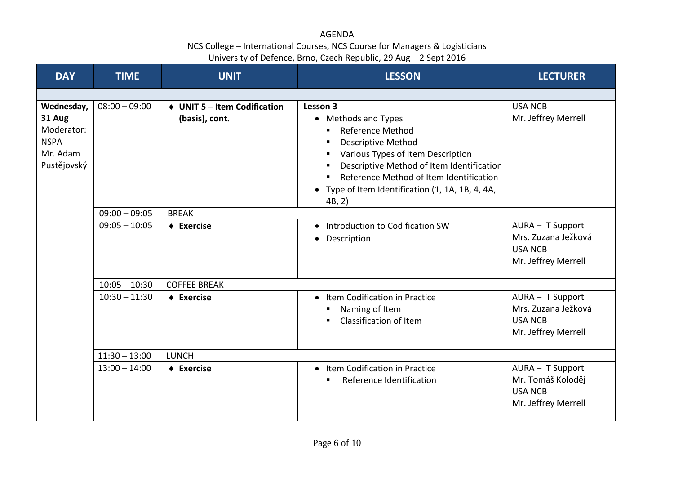| <b>DAY</b>                                                                   | <b>TIME</b>     | <b>UNIT</b>                                    | <b>LESSON</b>                                                                                                                                                                                                                                                                                               | <b>LECTURER</b>                                                                   |
|------------------------------------------------------------------------------|-----------------|------------------------------------------------|-------------------------------------------------------------------------------------------------------------------------------------------------------------------------------------------------------------------------------------------------------------------------------------------------------------|-----------------------------------------------------------------------------------|
|                                                                              |                 |                                                |                                                                                                                                                                                                                                                                                                             |                                                                                   |
| Wednesday,<br>31 Aug<br>Moderator:<br><b>NSPA</b><br>Mr. Adam<br>Pustějovský | $08:00 - 09:00$ | ♦ UNIT 5 - Item Codification<br>(basis), cont. | Lesson 3<br>• Methods and Types<br><b>Reference Method</b><br>٠<br><b>Descriptive Method</b><br>٠<br>Various Types of Item Description<br>п<br>Descriptive Method of Item Identification<br>٠<br>Reference Method of Item Identification<br>٠<br>• Type of Item Identification (1, 1A, 1B, 4, 4A,<br>4B, 2) | <b>USA NCB</b><br>Mr. Jeffrey Merrell                                             |
|                                                                              | $09:00 - 09:05$ | <b>BREAK</b>                                   |                                                                                                                                                                                                                                                                                                             |                                                                                   |
|                                                                              | $09:05 - 10:05$ | $\triangle$ Exercise                           | • Introduction to Codification SW<br>• Description                                                                                                                                                                                                                                                          | AURA - IT Support<br>Mrs. Zuzana Ježková<br><b>USA NCB</b><br>Mr. Jeffrey Merrell |
|                                                                              | $10:05 - 10:30$ | <b>COFFEE BREAK</b>                            |                                                                                                                                                                                                                                                                                                             |                                                                                   |
|                                                                              | $10:30 - 11:30$ | $\triangle$ Exercise                           | • Item Codification in Practice<br>Naming of Item<br>ш<br>Classification of Item<br>$\blacksquare$                                                                                                                                                                                                          | AURA - IT Support<br>Mrs. Zuzana Ježková<br><b>USA NCB</b><br>Mr. Jeffrey Merrell |
|                                                                              | $11:30 - 13:00$ | <b>LUNCH</b>                                   |                                                                                                                                                                                                                                                                                                             |                                                                                   |
|                                                                              | $13:00 - 14:00$ | $\triangle$ Exercise                           | • Item Codification in Practice<br>Reference Identification<br>٠                                                                                                                                                                                                                                            | AURA - IT Support<br>Mr. Tomáš Koloděj<br><b>USA NCB</b><br>Mr. Jeffrey Merrell   |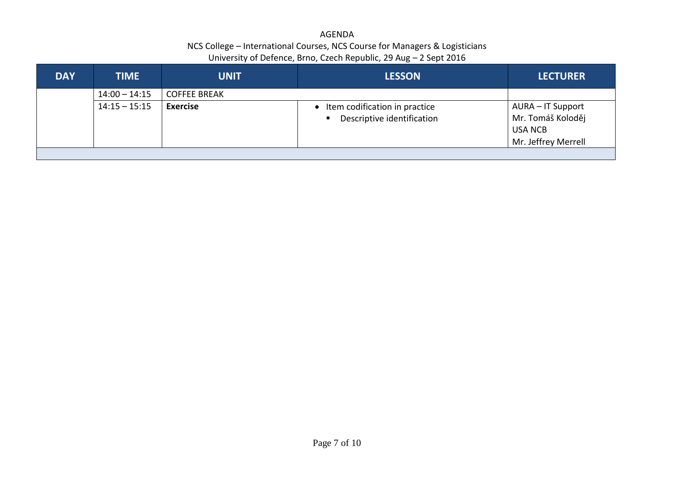| <b>DAY</b> | <b>TIME</b>     | <b>UNIT</b>         | <b>LESSON</b>                                                                 | <b>LECTURER</b>                                                                 |
|------------|-----------------|---------------------|-------------------------------------------------------------------------------|---------------------------------------------------------------------------------|
|            | $14:00 - 14:15$ | <b>COFFEE BREAK</b> |                                                                               |                                                                                 |
|            | $14:15 - 15:15$ | <b>Exercise</b>     | Item codification in practice<br>Descriptive identification<br>$\blacksquare$ | AURA – IT Support<br>Mr. Tomáš Koloděj<br><b>USA NCB</b><br>Mr. Jeffrey Merrell |
|            |                 |                     |                                                                               |                                                                                 |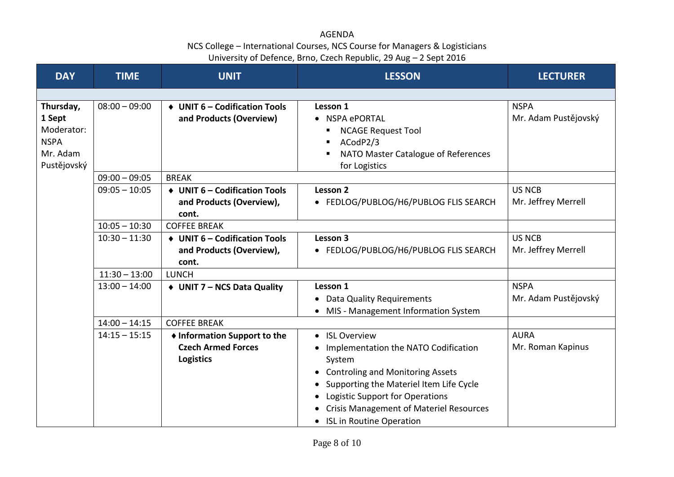| <b>DAY</b>                                                                  | <b>TIME</b>     | <b>UNIT</b>                                                                   | <b>LESSON</b>                                                                                                                                                                                                                                                                            | <b>LECTURER</b>                      |
|-----------------------------------------------------------------------------|-----------------|-------------------------------------------------------------------------------|------------------------------------------------------------------------------------------------------------------------------------------------------------------------------------------------------------------------------------------------------------------------------------------|--------------------------------------|
|                                                                             |                 |                                                                               |                                                                                                                                                                                                                                                                                          |                                      |
| Thursday,<br>1 Sept<br>Moderator:<br><b>NSPA</b><br>Mr. Adam<br>Pustějovský | $08:00 - 09:00$ | ♦ UNIT 6 - Codification Tools<br>and Products (Overview)                      | Lesson 1<br>• NSPA ePORTAL<br><b>NCAGE Request Tool</b><br>п<br>ACodP2/3<br>$\blacksquare$<br>NATO Master Catalogue of References<br>п<br>for Logistics                                                                                                                                  | <b>NSPA</b><br>Mr. Adam Pustějovský  |
|                                                                             | $09:00 - 09:05$ | <b>BREAK</b>                                                                  |                                                                                                                                                                                                                                                                                          |                                      |
|                                                                             | $09:05 - 10:05$ | ♦ UNIT 6 - Codification Tools<br>and Products (Overview),<br>cont.            | Lesson 2<br>• FEDLOG/PUBLOG/H6/PUBLOG FLIS SEARCH                                                                                                                                                                                                                                        | <b>US NCB</b><br>Mr. Jeffrey Merrell |
|                                                                             | $10:05 - 10:30$ | <b>COFFEE BREAK</b>                                                           |                                                                                                                                                                                                                                                                                          |                                      |
|                                                                             | $10:30 - 11:30$ | ♦ UNIT 6 - Codification Tools<br>and Products (Overview),<br>cont.            | Lesson 3<br>• FEDLOG/PUBLOG/H6/PUBLOG FLIS SEARCH                                                                                                                                                                                                                                        | <b>US NCB</b><br>Mr. Jeffrey Merrell |
|                                                                             | $11:30 - 13:00$ | <b>LUNCH</b>                                                                  |                                                                                                                                                                                                                                                                                          |                                      |
|                                                                             | $13:00 - 14:00$ | ♦ UNIT 7 - NCS Data Quality                                                   | Lesson 1<br>• Data Quality Requirements<br>• MIS - Management Information System                                                                                                                                                                                                         | <b>NSPA</b><br>Mr. Adam Pustějovský  |
|                                                                             | $14:00 - 14:15$ | <b>COFFEE BREAK</b>                                                           |                                                                                                                                                                                                                                                                                          |                                      |
|                                                                             | $14:15 - 15:15$ | ♦ Information Support to the<br><b>Czech Armed Forces</b><br><b>Logistics</b> | • ISL Overview<br>• Implementation the NATO Codification<br>System<br><b>Controling and Monitoring Assets</b><br>$\bullet$<br>Supporting the Materiel Item Life Cycle<br>Logistic Support for Operations<br><b>Crisis Management of Materiel Resources</b><br>• ISL in Routine Operation | <b>AURA</b><br>Mr. Roman Kapinus     |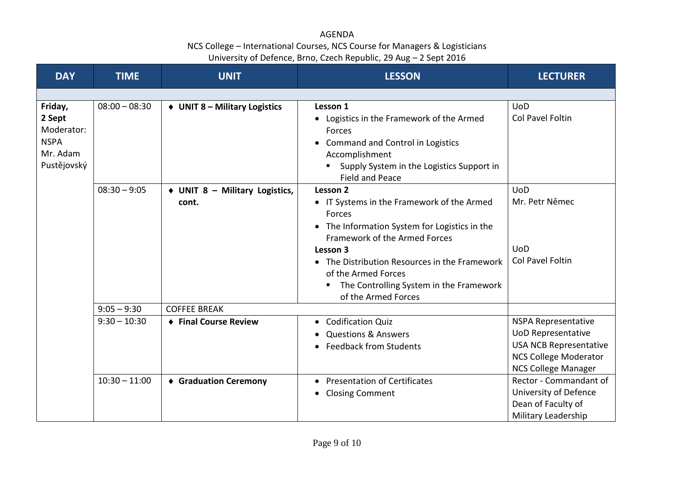| <b>DAY</b>                                                                | <b>TIME</b>     | <b>UNIT</b>                                 | <b>LESSON</b>                                                                                                                                                                                                                                                                                               | <b>LECTURER</b>                                                                                                                                        |
|---------------------------------------------------------------------------|-----------------|---------------------------------------------|-------------------------------------------------------------------------------------------------------------------------------------------------------------------------------------------------------------------------------------------------------------------------------------------------------------|--------------------------------------------------------------------------------------------------------------------------------------------------------|
|                                                                           |                 |                                             |                                                                                                                                                                                                                                                                                                             |                                                                                                                                                        |
| Friday,<br>2 Sept<br>Moderator:<br><b>NSPA</b><br>Mr. Adam<br>Pustějovský | $08:00 - 08:30$ | $\triangleleft$ UNIT 8 – Military Logistics | Lesson 1<br>• Logistics in the Framework of the Armed<br>Forces<br>• Command and Control in Logistics<br>Accomplishment<br>Supply System in the Logistics Support in<br><b>Field and Peace</b>                                                                                                              | <b>UoD</b><br>Col Pavel Foltin                                                                                                                         |
|                                                                           | $08:30 - 9:05$  | ♦ UNIT 8 - Military Logistics,<br>cont.     | Lesson 2<br>• IT Systems in the Framework of the Armed<br>Forces<br>• The Information System for Logistics in the<br>Framework of the Armed Forces<br>Lesson 3<br>The Distribution Resources in the Framework<br>of the Armed Forces<br>The Controlling System in the Framework<br>Е<br>of the Armed Forces | <b>UoD</b><br>Mr. Petr Němec<br><b>UoD</b><br>Col Pavel Foltin                                                                                         |
|                                                                           | $9:05 - 9:30$   | <b>COFFEE BREAK</b>                         |                                                                                                                                                                                                                                                                                                             |                                                                                                                                                        |
|                                                                           | $9:30 - 10:30$  | ♦ Final Course Review                       | • Codification Quiz<br><b>Questions &amp; Answers</b><br><b>Feedback from Students</b>                                                                                                                                                                                                                      | <b>NSPA Representative</b><br><b>UoD Representative</b><br><b>USA NCB Representative</b><br><b>NCS College Moderator</b><br><b>NCS College Manager</b> |
|                                                                           | $10:30 - 11:00$ | ♦ Graduation Ceremony                       | • Presentation of Certificates<br><b>Closing Comment</b><br>$\bullet$                                                                                                                                                                                                                                       | Rector - Commandant of<br>University of Defence<br>Dean of Faculty of<br>Military Leadership                                                           |